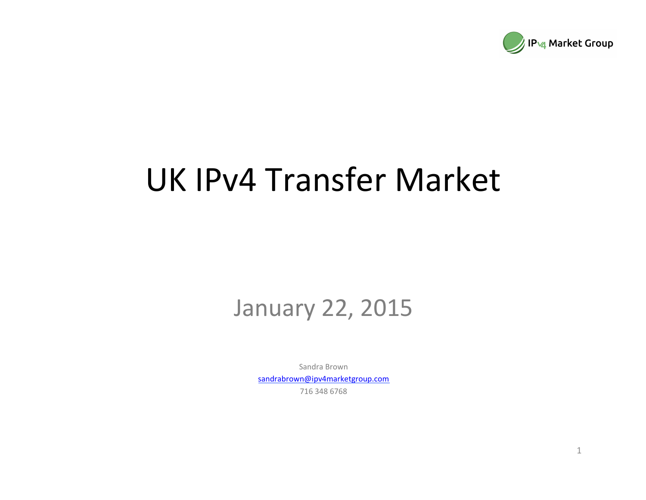

### UK IPv4 Transfer Market

January 22, 2015

Sandra Brown sandrabrown@ipv4marketgroup.com 716 348 6768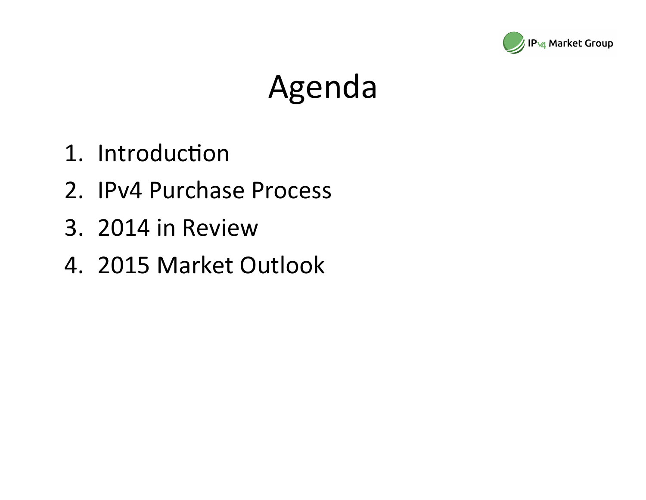

# Agenda

- 1. Introduction
- 2. IPv4 Purchase Process
- 3. 2014 in Review
- 4. 2015 Market Outlook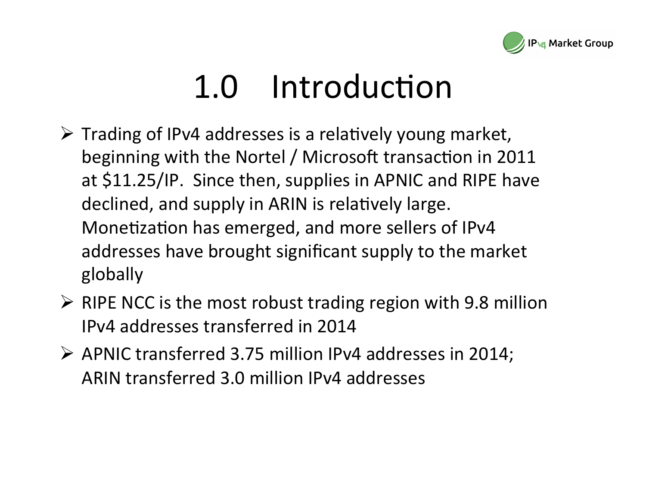

# 1.0 Introduction

- $\triangleright$  Trading of IPv4 addresses is a relatively young market, beginning with the Nortel / Microsoft transaction in 2011 at \$11.25/IP. Since then, supplies in APNIC and RIPE have declined, and supply in ARIN is relatively large. Monetization has emerged, and more sellers of IPv4 addresses have brought significant supply to the market globally
- $\triangleright$  RIPE NCC is the most robust trading region with 9.8 million IPv4 addresses transferred in 2014
- $\triangleright$  APNIC transferred 3.75 million IPv4 addresses in 2014; ARIN transferred 3.0 million IPv4 addresses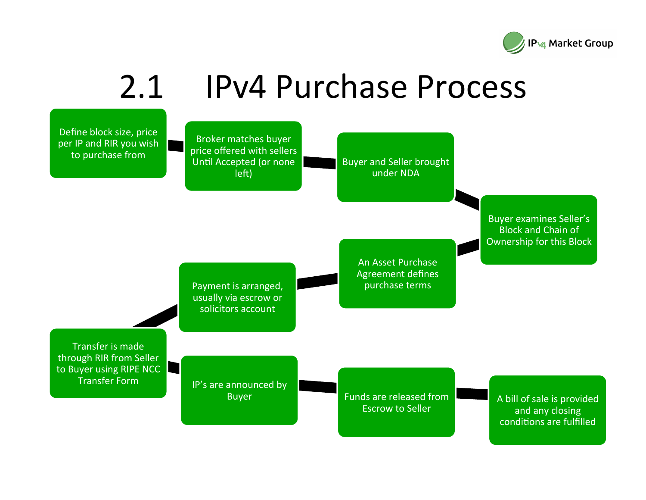

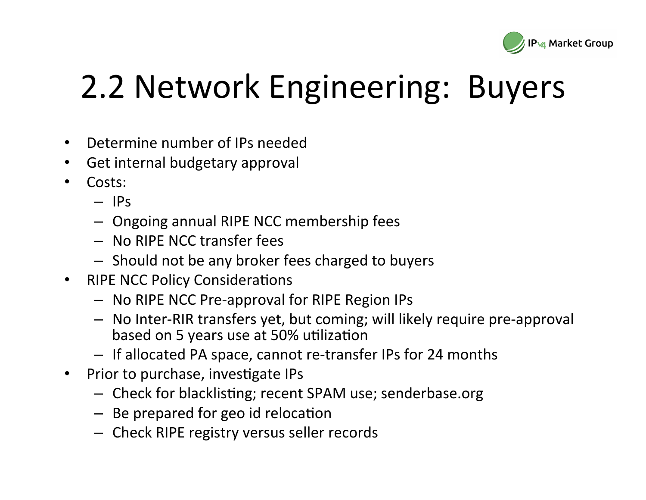

# 2.2 Network Engineering: Buyers

- Determine number of IPs needed
- Get internal budgetary approval
- Costs:
	- IPs
	- $-$  Ongoing annual RIPE NCC membership fees
	- No RIPE NCC transfer fees
	- $-$  Should not be any broker fees charged to buyers
- RIPE NCC Policy Considerations
	- $-$  No RIPE NCC Pre-approval for RIPE Region IPs
	- No Inter-RIR transfers yet, but coming; will likely require pre-approval based on 5 years use at 50% utilization
	- $-$  If allocated PA space, cannot re-transfer IPs for 24 months
- Prior to purchase, investigate IPs
	- Check for blacklisting; recent SPAM use; senderbase.org
	- $-$  Be prepared for geo id relocation
	- Check RIPE registry versus seller records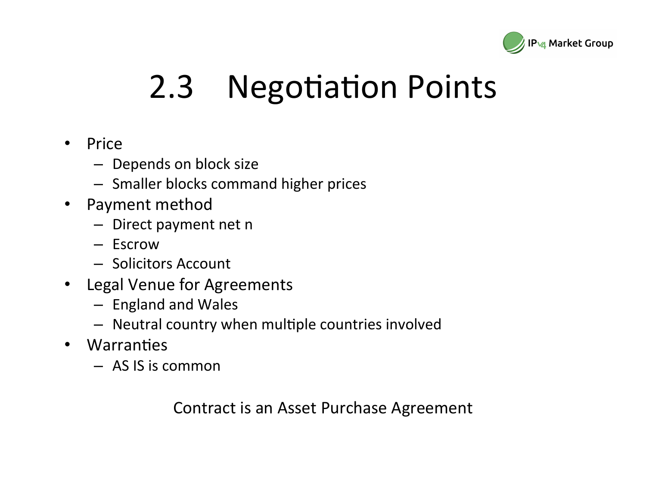

# 2.3 Negotiation Points

- Price
	- Depends on block size
	- Smaller blocks command higher prices
- Payment method
	- Direct payment net n
	- Escrow
	- Solicitors Account
- Legal Venue for Agreements
	- England and Wales
	- Neutral country when multiple countries involved
- Warranties
	- AS IS is common

Contract is an Asset Purchase Agreement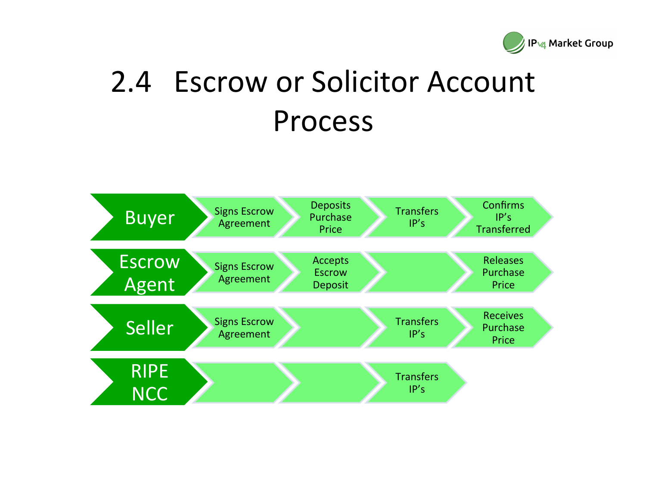

### 2.4 Escrow or Solicitor Account Process

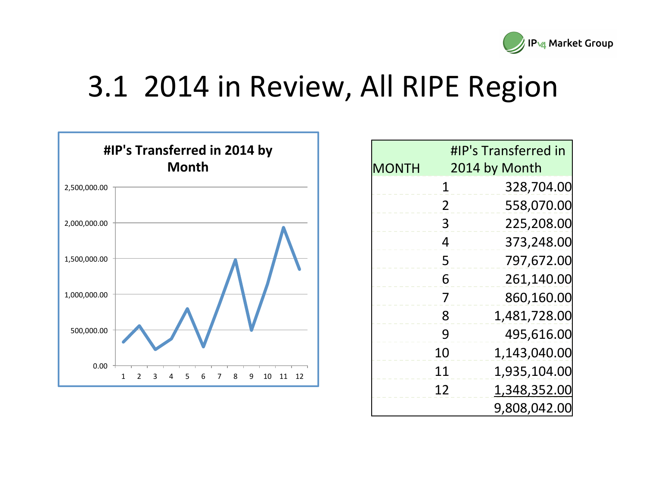

#### 3.1 2014 in Review, All RIPE Region



| <b>MONTH</b> | #IP's Transferred in<br>2014 by Month |              |  |
|--------------|---------------------------------------|--------------|--|
|              | 1                                     | 328,704.00   |  |
|              | 2                                     | 558,070.00   |  |
|              | 3                                     | 225,208.00   |  |
|              | 4                                     | 373,248.00   |  |
|              | 5                                     | 797,672.00   |  |
|              | 6                                     | 261,140.00   |  |
|              | 7                                     | 860,160.00   |  |
|              | 8                                     | 1,481,728.00 |  |
|              | 9                                     | 495,616.00   |  |
|              | 10                                    | 1,143,040.00 |  |
|              | 11                                    | 1,935,104.00 |  |
|              | 12                                    | 1,348,352.00 |  |
|              |                                       | 9,808,042.00 |  |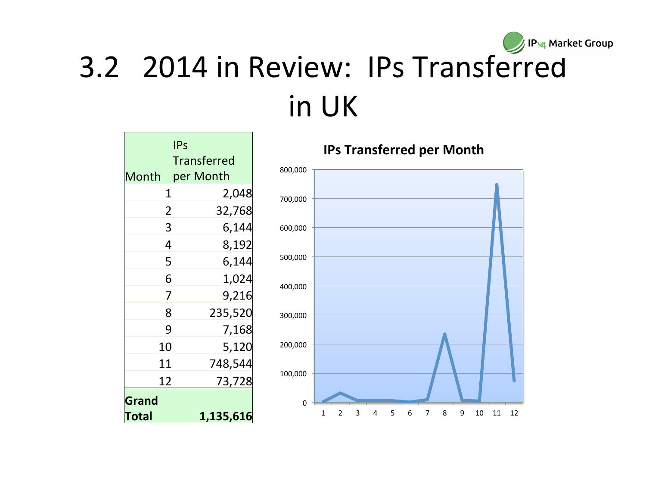#### / IP<sub>V4</sub> Market Group 3.2 2014 in Review: IPs Transferred in UK

| <b>IPs</b>     |                    |  |  |  |
|----------------|--------------------|--|--|--|
|                | <b>Transferred</b> |  |  |  |
| Month          | per Month          |  |  |  |
| 1              | 2,048              |  |  |  |
| $\overline{2}$ | 32,768             |  |  |  |
| 3              | 6,144              |  |  |  |
| 4              | 8,192              |  |  |  |
| 5              | 6,144              |  |  |  |
| 6              | 1,024              |  |  |  |
| 7              | 9,216              |  |  |  |
| 8              | 235,520            |  |  |  |
| 9              | 7,168              |  |  |  |
| 10             | 5,120              |  |  |  |
| 11             | 748,544            |  |  |  |
| 12             | 73,728             |  |  |  |
| Grand          |                    |  |  |  |
| Total          | 1,135,616          |  |  |  |

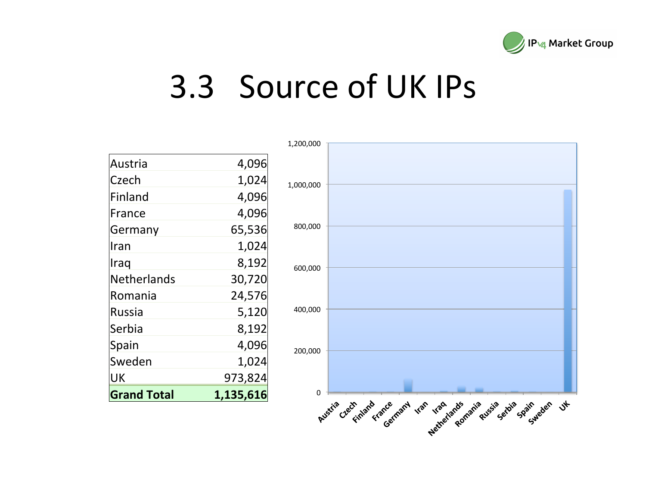

### 3.3 Source of UK IPs

|                    |           | 1,200,000   |                                                                               |
|--------------------|-----------|-------------|-------------------------------------------------------------------------------|
| Austria            | 4,096     |             |                                                                               |
| Czech              | 1,024     | 1,000,000   |                                                                               |
| Finland            | 4,096     |             |                                                                               |
| France             | 4,096     |             |                                                                               |
| Germany            | 65,536    | 800,000     |                                                                               |
| Iran               | 1,024     |             |                                                                               |
| Iraq               | 8,192     | 600,000     |                                                                               |
| Netherlands        | 30,720    |             |                                                                               |
| Romania            | 24,576    |             |                                                                               |
| Russia             | 5,120     | 400,000     |                                                                               |
| Serbia             | 8,192     |             |                                                                               |
| Spain              | 4,096     | 200,000     |                                                                               |
| Sweden             | 1,024     |             |                                                                               |
| UK                 | 973,824   |             |                                                                               |
| <b>Grand Total</b> | 1,135,616 | $\mathbf 0$ |                                                                               |
|                    |           |             | Austile Clech internet Krackamany view view and austile getting going adem of |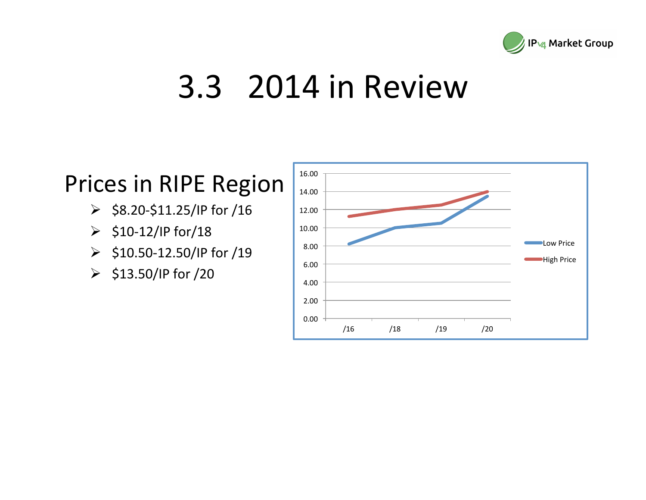

### 3.3 2014 in Review

#### Prices in RIPE Region

- $\geq$  \$8.20-\$11.25/IP for /16
- $\geq$  \$10-12/IP for/18
- $\geq$  \$10.50-12.50/IP for /19
- $\geq$  \$13.50/IP for /20